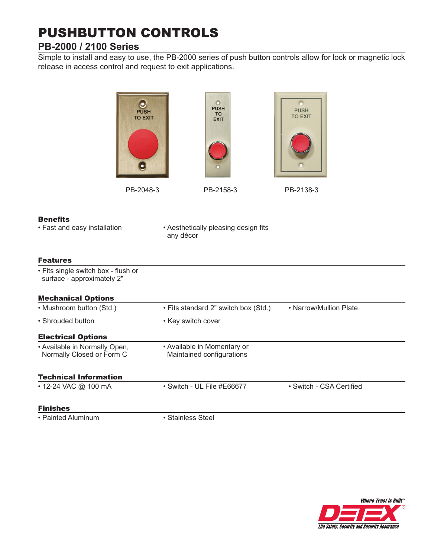# PUSHBUTTON CONTROLS

## **PB-2000 / 2100 Series**

Simple to install and easy to use, the PB-2000 series of push button controls allow for lock or magnetic lock release in access control and request to exit applications.



#### Benefits

• Fast and easy installation

• Aesthetically pleasing design fits any décor

### Features

| • Fits single switch box - flush or<br>surface - approximately 2" |                                                          |                          |
|-------------------------------------------------------------------|----------------------------------------------------------|--------------------------|
| <b>Mechanical Options</b>                                         |                                                          |                          |
| • Mushroom button (Std.)                                          | • Fits standard 2" switch box (Std.)                     | • Narrow/Mullion Plate   |
| • Shrouded button                                                 | • Key switch cover                                       |                          |
| <b>Electrical Options</b>                                         |                                                          |                          |
| • Available in Normally Open,<br>Normally Closed or Form C        | • Available in Momentary or<br>Maintained configurations |                          |
| <b>Technical Information</b>                                      |                                                          |                          |
| • 12-24 VAC @ 100 mA                                              | • Switch - UL File #E66677                               | • Switch - CSA Certified |
| <b>Finishes</b>                                                   |                                                          |                          |

• Painted Aluminum

• Stainless Steel